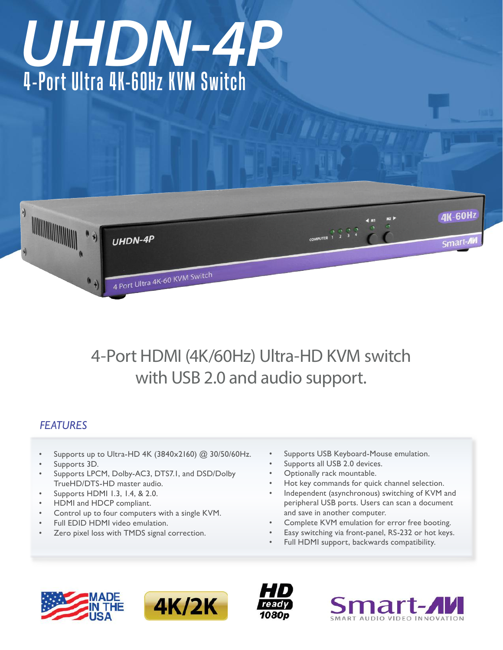# 4-Port Ultra 4K-60Hz KVM Switch *UHDN-4P*



# 4-Port HDMI (4K/60Hz) Ultra-HD KVM switch with USB 2.0 and audio support.

# *FEATURES*

- Supports up to Ultra-HD 4K (3840x2160) @ 30/50/60Hz.
- Supports 3D.
- Supports LPCM, Dolby-AC3, DTS7.1, and DSD/Dolby TrueHD/DTS-HD master audio.
- Supports HDMI 1.3, 1.4, & 2.0.
- HDMI and HDCP compliant.
- Control up to four computers with a single KVM.
- Full EDID HDMI video emulation.
- Zero pixel loss with TMDS signal correction.
- Supports USB Keyboard-Mouse emulation.
- Supports all USB 2.0 devices.
- Optionally rack mountable.
- Hot key commands for quick channel selection.
- Independent (asynchronous) switching of KVM and peripheral USB ports. Users can scan a document and save in another computer.
- Complete KVM emulation for error free booting.
- Easy switching via front-panel, RS-232 or hot keys.
- Full HDMI support, backwards compatibility.







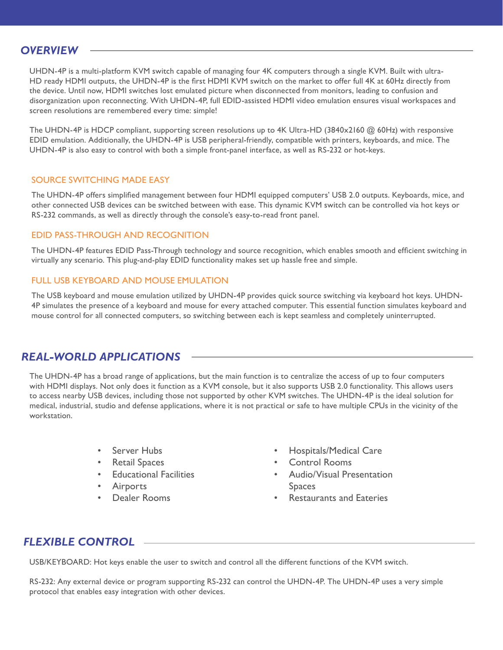## *OVERVIEW*

UHDN-4P is a multi-platform KVM switch capable of managing four 4K computers through a single KVM. Built with ultra-HD ready HDMI outputs, the UHDN-4P is the first HDMI KVM switch on the market to offer full 4K at 60Hz directly from the device. Until now, HDMI switches lost emulated picture when disconnected from monitors, leading to confusion and disorganization upon reconnecting. With UHDN-4P, full EDID-assisted HDMI video emulation ensures visual workspaces and screen resolutions are remembered every time: simple!

The UHDN-4P is HDCP compliant, supporting screen resolutions up to 4K Ultra-HD (3840x2160 @ 60Hz) with responsive EDID emulation. Additionally, the UHDN-4P is USB peripheral-friendly, compatible with printers, keyboards, and mice. The UHDN-4P is also easy to control with both a simple front-panel interface, as well as RS-232 or hot-keys.

#### SOURCE SWITCHING MADE EASY

The UHDN-4P offers simplified management between four HDMI equipped computers' USB 2.0 outputs. Keyboards, mice, and other connected USB devices can be switched between with ease. This dynamic KVM switch can be controlled via hot keys or RS-232 commands, as well as directly through the console's easy-to-read front panel.

#### EDID PASS-THROUGH AND RECOGNITION

The UHDN-4P features EDID Pass-Through technology and source recognition, which enables smooth and efficient switching in virtually any scenario. This plug-and-play EDID functionality makes set up hassle free and simple.

#### FULL USB KEYBOARD AND MOUSE EMULATION

The USB keyboard and mouse emulation utilized by UHDN-4P provides quick source switching via keyboard hot keys. UHDN-4P simulates the presence of a keyboard and mouse for every attached computer. This essential function simulates keyboard and mouse control for all connected computers, so switching between each is kept seamless and completely uninterrupted.

#### *REAL-WORLD APPLICATIONS*

The UHDN-4P has a broad range of applications, but the main function is to centralize the access of up to four computers with HDMI displays. Not only does it function as a KVM console, but it also supports USB 2.0 functionality. This allows users to access nearby USB devices, including those not supported by other KVM switches. The UHDN-4P is the ideal solution for medical, industrial, studio and defense applications, where it is not practical or safe to have multiple CPUs in the vicinity of the workstation.

- **Server Hubs**
- **Retail Spaces**
- **Educational Facilities**
- **Airports**
- Dealer Rooms
- • Hospitals/Medical Care
- • Control Rooms
- • Audio/Visual Presentation Spaces
- **Restaurants and Eateries**

## *FLEXIBLE CONTROL*

USB/KEYBOARD: Hot keys enable the user to switch and control all the different functions of the KVM switch.

RS-232: Any external device or program supporting RS-232 can control the UHDN-4P. The UHDN-4P uses a very simple protocol that enables easy integration with other devices.